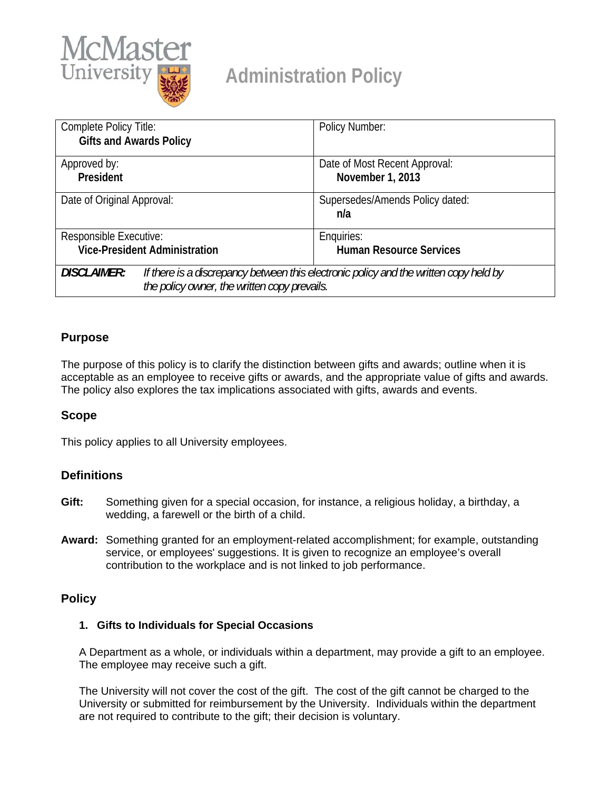

# **Administration Policy**

| Complete Policy Title:<br><b>Gifts and Awards Policy</b>                                                    | Policy Number:                  |
|-------------------------------------------------------------------------------------------------------------|---------------------------------|
| Approved by:                                                                                                | Date of Most Recent Approval:   |
| President                                                                                                   | November 1, 2013                |
| Date of Original Approval:                                                                                  | Supersedes/Amends Policy dated: |
|                                                                                                             | n/a                             |
| Responsible Executive:                                                                                      | Enquiries:                      |
| <b>Vice-President Administration</b>                                                                        | <b>Human Resource Services</b>  |
| <b>DISCLAIMER:</b><br>If there is a discrepancy between this electronic policy and the written copy held by |                                 |
| the policy owner, the written copy prevails.                                                                |                                 |

## **Purpose**

The purpose of this policy is to clarify the distinction between gifts and awards; outline when it is acceptable as an employee to receive gifts or awards, and the appropriate value of gifts and awards. The policy also explores the tax implications associated with gifts, awards and events.

## **Scope**

This policy applies to all University employees.

# **Definitions**

- **Gift:** Something given for a special occasion, for instance, a religious holiday, a birthday, a wedding, a farewell or the birth of a child.
- **Award:** Something granted for an employment-related accomplishment; for example, outstanding service, or employees' suggestions. It is given to recognize an employee's overall contribution to the workplace and is not linked to job performance.

## **Policy**

#### **1. Gifts to Individuals for Special Occasions**

A Department as a whole, or individuals within a department, may provide a gift to an employee. The employee may receive such a gift.

The University will not cover the cost of the gift. The cost of the gift cannot be charged to the University or submitted for reimbursement by the University. Individuals within the department are not required to contribute to the gift; their decision is voluntary.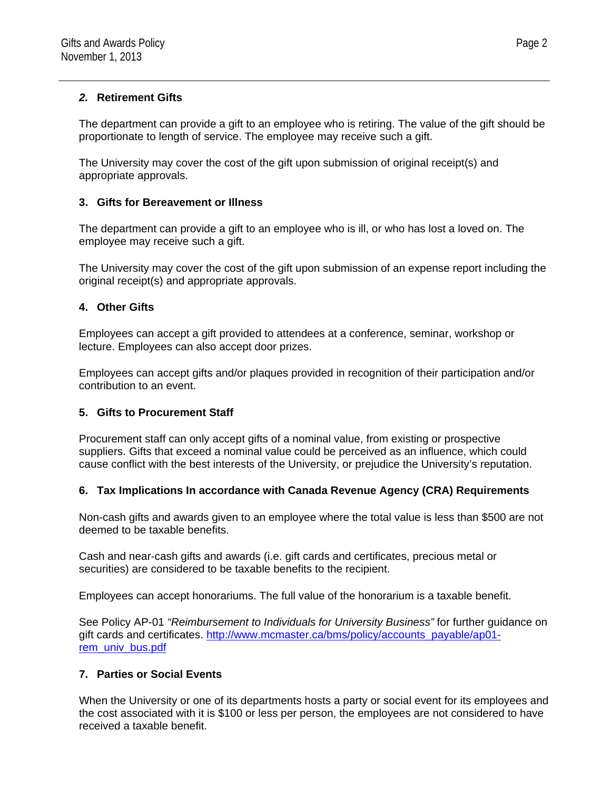#### *2.* **Retirement Gifts**

The department can provide a gift to an employee who is retiring. The value of the gift should be proportionate to length of service. The employee may receive such a gift.

The University may cover the cost of the gift upon submission of original receipt(s) and appropriate approvals.

## **3. Gifts for Bereavement or Illness**

The department can provide a gift to an employee who is ill, or who has lost a loved on. The employee may receive such a gift.

The University may cover the cost of the gift upon submission of an expense report including the original receipt(s) and appropriate approvals.

#### **4. Other Gifts**

Employees can accept a gift provided to attendees at a conference, seminar, workshop or lecture. Employees can also accept door prizes.

Employees can accept gifts and/or plaques provided in recognition of their participation and/or contribution to an event.

#### **5. Gifts to Procurement Staff**

Procurement staff can only accept gifts of a nominal value, from existing or prospective suppliers. Gifts that exceed a nominal value could be perceived as an influence, which could cause conflict with the best interests of the University, or prejudice the University's reputation.

#### **6. Tax Implications In accordance with Canada Revenue Agency (CRA) Requirements**

Non-cash gifts and awards given to an employee where the total value is less than \$500 are not deemed to be taxable benefits.

Cash and near-cash gifts and awards (i.e. gift cards and certificates, precious metal or securities) are considered to be taxable benefits to the recipient.

Employees can accept honorariums. The full value of the honorarium is a taxable benefit.

See Policy AP-01 *"Reimbursement to Individuals for University Business"* for further guidance on gift cards and certificates. http://www.mcmaster.ca/bms/policy/accounts\_payable/ap01 rem\_univ\_bus.pdf

## **7. Parties or Social Events**

When the University or one of its departments hosts a party or social event for its employees and the cost associated with it is \$100 or less per person, the employees are not considered to have received a taxable benefit.